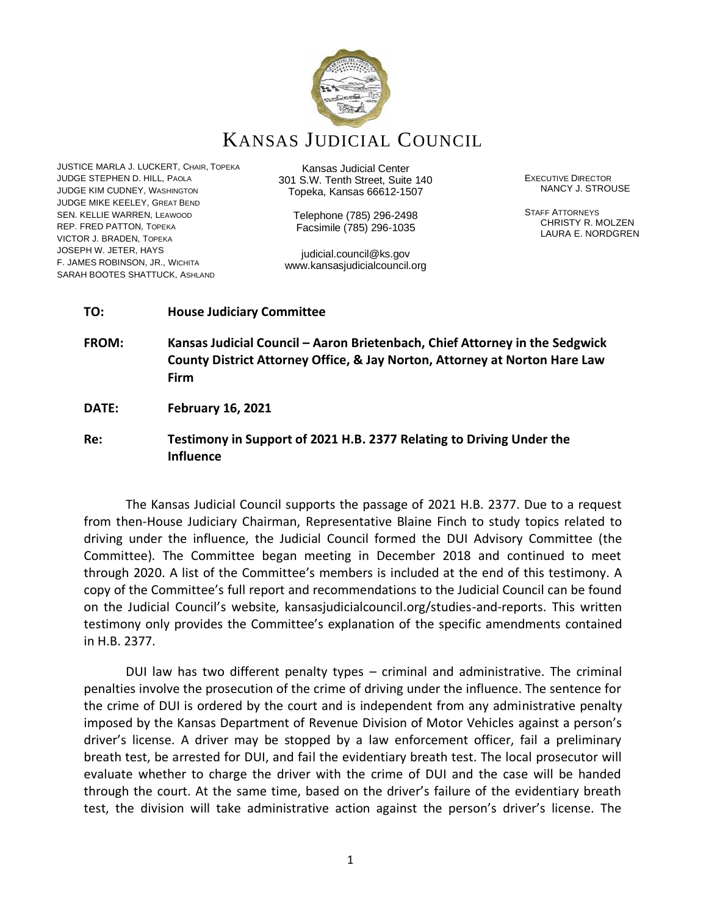

KANSAS JUDICIAL COUNCIL

JUSTICE MARLA J. LUCKERT, CHAIR, TOPEKA JUDGE STEPHEN D. HILL, PAOLA JUDGE KIM CUDNEY, WASHINGTON JUDGE MIKE KEELEY, GREAT BEND SEN. KELLIE WARREN, LEAWOOD REP. FRED PATTON, TOPEKA VICTOR J. BRADEN, TOPEKA JOSEPH W. JETER, HAYS F. JAMES ROBINSON, JR., WICHITA SARAH BOOTES SHATTUCK, ASHLAND

Kansas Judicial Center 301 S.W. Tenth Street, Suite 140 Topeka, Kansas 66612-1507

> Telephone (785) 296-2498 Facsimile (785) 296-1035

judicial.council@ks.gov www.kansasjudicialcouncil.org EXECUTIVE DIRECTOR NANCY J. STROUSE

STAFF ATTORNEYS CHRISTY R. MOLZEN LAURA E. NORDGREN

### **TO: House Judiciary Committee**

**FROM: Kansas Judicial Council – Aaron Brietenbach, Chief Attorney in the Sedgwick County District Attorney Office, & Jay Norton, Attorney at Norton Hare Law Firm**

**DATE: February 16, 2021**

# **Re: Testimony in Support of 2021 H.B. 2377 Relating to Driving Under the Influence**

The Kansas Judicial Council supports the passage of 2021 H.B. 2377. Due to a request from then-House Judiciary Chairman, Representative Blaine Finch to study topics related to driving under the influence, the Judicial Council formed the DUI Advisory Committee (the Committee). The Committee began meeting in December 2018 and continued to meet through 2020. A list of the Committee's members is included at the end of this testimony. A copy of the Committee's full report and recommendations to the Judicial Council can be found on the Judicial Council's website, kansasjudicialcouncil.org/studies-and-reports. This written testimony only provides the Committee's explanation of the specific amendments contained in H.B. 2377.

DUI law has two different penalty types – criminal and administrative. The criminal penalties involve the prosecution of the crime of driving under the influence. The sentence for the crime of DUI is ordered by the court and is independent from any administrative penalty imposed by the Kansas Department of Revenue Division of Motor Vehicles against a person's driver's license. A driver may be stopped by a law enforcement officer, fail a preliminary breath test, be arrested for DUI, and fail the evidentiary breath test. The local prosecutor will evaluate whether to charge the driver with the crime of DUI and the case will be handed through the court. At the same time, based on the driver's failure of the evidentiary breath test, the division will take administrative action against the person's driver's license. The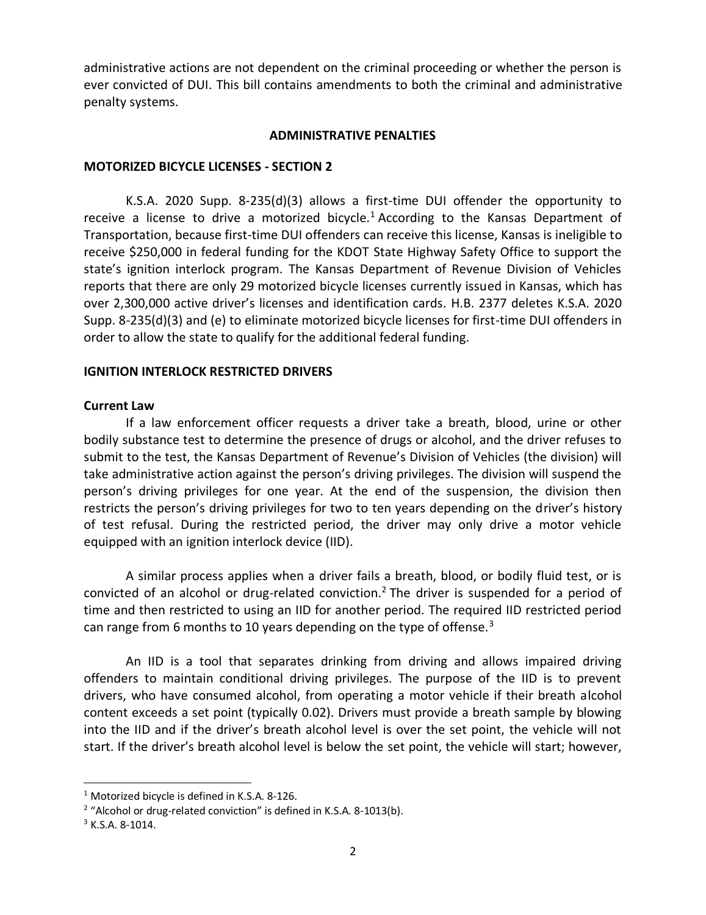administrative actions are not dependent on the criminal proceeding or whether the person is ever convicted of DUI. This bill contains amendments to both the criminal and administrative penalty systems.

### **ADMINISTRATIVE PENALTIES**

### **MOTORIZED BICYCLE LICENSES - SECTION 2**

K.S.A. 2020 Supp. 8-235(d)(3) allows a first-time DUI offender the opportunity to receive a license to drive a motorized bicycle.<sup>1</sup> According to the Kansas Department of Transportation, because first-time DUI offenders can receive this license, Kansas is ineligible to receive \$250,000 in federal funding for the KDOT State Highway Safety Office to support the state's ignition interlock program. The Kansas Department of Revenue Division of Vehicles reports that there are only 29 motorized bicycle licenses currently issued in Kansas, which has over 2,300,000 active driver's licenses and identification cards. H.B. 2377 deletes K.S.A. 2020 Supp. 8-235(d)(3) and (e) to eliminate motorized bicycle licenses for first-time DUI offenders in order to allow the state to qualify for the additional federal funding.

### **IGNITION INTERLOCK RESTRICTED DRIVERS**

#### **Current Law**

If a law enforcement officer requests a driver take a breath, blood, urine or other bodily substance test to determine the presence of drugs or alcohol, and the driver refuses to submit to the test, the Kansas Department of Revenue's Division of Vehicles (the division) will take administrative action against the person's driving privileges. The division will suspend the person's driving privileges for one year. At the end of the suspension, the division then restricts the person's driving privileges for two to ten years depending on the driver's history of test refusal. During the restricted period, the driver may only drive a motor vehicle equipped with an ignition interlock device (IID).

A similar process applies when a driver fails a breath, blood, or bodily fluid test, or is convicted of an alcohol or drug-related conviction.<sup>2</sup> The driver is suspended for a period of time and then restricted to using an IID for another period. The required IID restricted period can range from 6 months to 10 years depending on the type of offense.<sup>3</sup>

An IID is a tool that separates drinking from driving and allows impaired driving offenders to maintain conditional driving privileges. The purpose of the IID is to prevent drivers, who have consumed alcohol, from operating a motor vehicle if their breath alcohol content exceeds a set point (typically 0.02). Drivers must provide a breath sample by blowing into the IID and if the driver's breath alcohol level is over the set point, the vehicle will not start. If the driver's breath alcohol level is below the set point, the vehicle will start; however,

<sup>1</sup> Motorized bicycle is defined in K.S.A. 8-126.

 $2$  "Alcohol or drug-related conviction" is defined in K.S.A. 8-1013(b).

 $3$  K.S.A. 8-1014.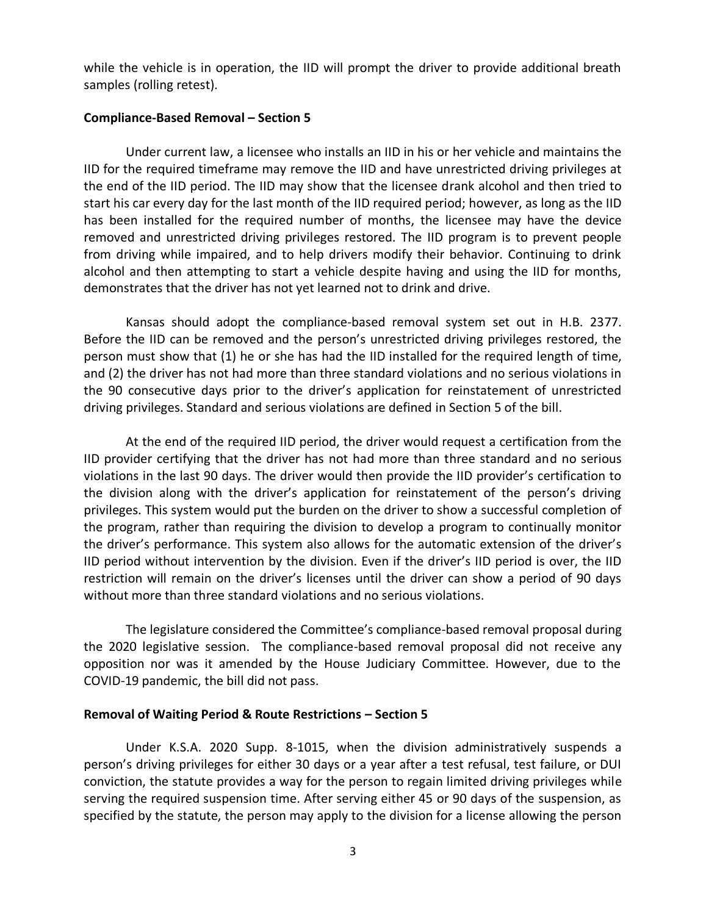while the vehicle is in operation, the IID will prompt the driver to provide additional breath samples (rolling retest).

### **Compliance-Based Removal – Section 5**

Under current law, a licensee who installs an IID in his or her vehicle and maintains the IID for the required timeframe may remove the IID and have unrestricted driving privileges at the end of the IID period. The IID may show that the licensee drank alcohol and then tried to start his car every day for the last month of the IID required period; however, as long as the IID has been installed for the required number of months, the licensee may have the device removed and unrestricted driving privileges restored. The IID program is to prevent people from driving while impaired, and to help drivers modify their behavior. Continuing to drink alcohol and then attempting to start a vehicle despite having and using the IID for months, demonstrates that the driver has not yet learned not to drink and drive.

Kansas should adopt the compliance-based removal system set out in H.B. 2377. Before the IID can be removed and the person's unrestricted driving privileges restored, the person must show that (1) he or she has had the IID installed for the required length of time, and (2) the driver has not had more than three standard violations and no serious violations in the 90 consecutive days prior to the driver's application for reinstatement of unrestricted driving privileges. Standard and serious violations are defined in Section 5 of the bill.

At the end of the required IID period, the driver would request a certification from the IID provider certifying that the driver has not had more than three standard and no serious violations in the last 90 days. The driver would then provide the IID provider's certification to the division along with the driver's application for reinstatement of the person's driving privileges. This system would put the burden on the driver to show a successful completion of the program, rather than requiring the division to develop a program to continually monitor the driver's performance. This system also allows for the automatic extension of the driver's IID period without intervention by the division. Even if the driver's IID period is over, the IID restriction will remain on the driver's licenses until the driver can show a period of 90 days without more than three standard violations and no serious violations.

The legislature considered the Committee's compliance-based removal proposal during the 2020 legislative session. The compliance-based removal proposal did not receive any opposition nor was it amended by the House Judiciary Committee. However, due to the COVID-19 pandemic, the bill did not pass.

#### **Removal of Waiting Period & Route Restrictions – Section 5**

Under K.S.A. 2020 Supp. 8-1015, when the division administratively suspends a person's driving privileges for either 30 days or a year after a test refusal, test failure, or DUI conviction, the statute provides a way for the person to regain limited driving privileges while serving the required suspension time. After serving either 45 or 90 days of the suspension, as specified by the statute, the person may apply to the division for a license allowing the person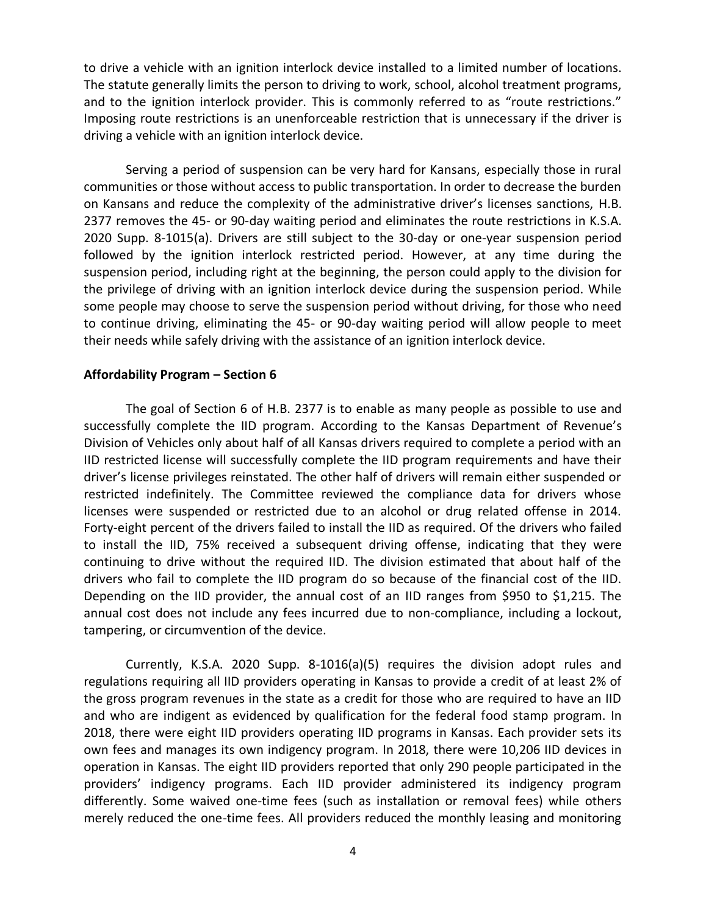to drive a vehicle with an ignition interlock device installed to a limited number of locations. The statute generally limits the person to driving to work, school, alcohol treatment programs, and to the ignition interlock provider. This is commonly referred to as "route restrictions." Imposing route restrictions is an unenforceable restriction that is unnecessary if the driver is driving a vehicle with an ignition interlock device.

Serving a period of suspension can be very hard for Kansans, especially those in rural communities or those without access to public transportation. In order to decrease the burden on Kansans and reduce the complexity of the administrative driver's licenses sanctions, H.B. 2377 removes the 45- or 90-day waiting period and eliminates the route restrictions in K.S.A. 2020 Supp. 8-1015(a). Drivers are still subject to the 30-day or one-year suspension period followed by the ignition interlock restricted period. However, at any time during the suspension period, including right at the beginning, the person could apply to the division for the privilege of driving with an ignition interlock device during the suspension period. While some people may choose to serve the suspension period without driving, for those who need to continue driving, eliminating the 45- or 90-day waiting period will allow people to meet their needs while safely driving with the assistance of an ignition interlock device.

### **Affordability Program – Section 6**

The goal of Section 6 of H.B. 2377 is to enable as many people as possible to use and successfully complete the IID program. According to the Kansas Department of Revenue's Division of Vehicles only about half of all Kansas drivers required to complete a period with an IID restricted license will successfully complete the IID program requirements and have their driver's license privileges reinstated. The other half of drivers will remain either suspended or restricted indefinitely. The Committee reviewed the compliance data for drivers whose licenses were suspended or restricted due to an alcohol or drug related offense in 2014. Forty-eight percent of the drivers failed to install the IID as required. Of the drivers who failed to install the IID, 75% received a subsequent driving offense, indicating that they were continuing to drive without the required IID. The division estimated that about half of the drivers who fail to complete the IID program do so because of the financial cost of the IID. Depending on the IID provider, the annual cost of an IID ranges from \$950 to \$1,215. The annual cost does not include any fees incurred due to non-compliance, including a lockout, tampering, or circumvention of the device.

Currently, K.S.A. 2020 Supp. 8-1016(a)(5) requires the division adopt rules and regulations requiring all IID providers operating in Kansas to provide a credit of at least 2% of the gross program revenues in the state as a credit for those who are required to have an IID and who are indigent as evidenced by qualification for the federal food stamp program. In 2018, there were eight IID providers operating IID programs in Kansas. Each provider sets its own fees and manages its own indigency program. In 2018, there were 10,206 IID devices in operation in Kansas. The eight IID providers reported that only 290 people participated in the providers' indigency programs. Each IID provider administered its indigency program differently. Some waived one-time fees (such as installation or removal fees) while others merely reduced the one-time fees. All providers reduced the monthly leasing and monitoring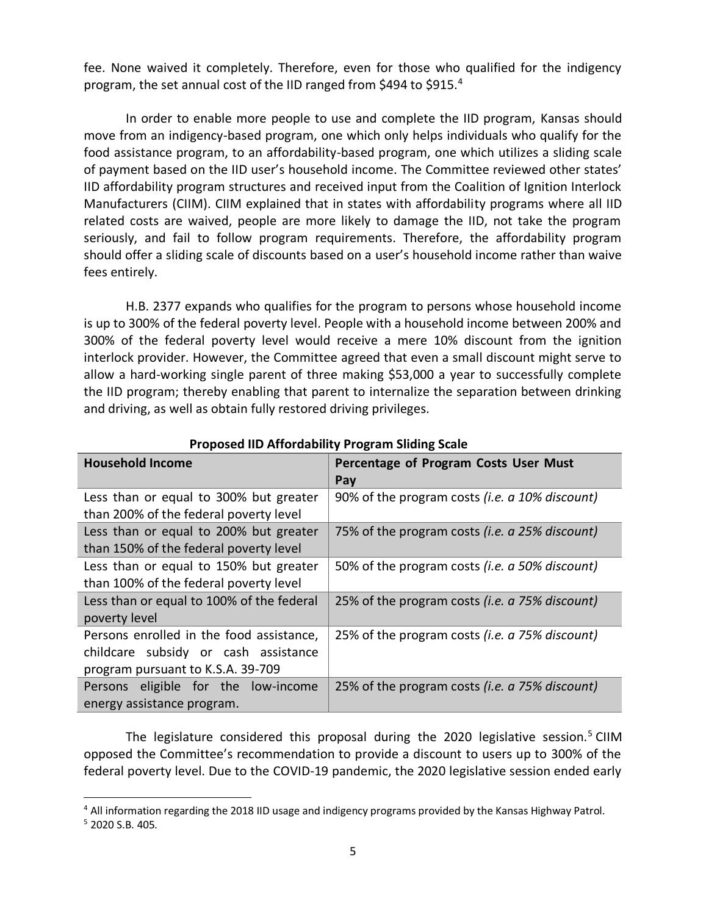fee. None waived it completely. Therefore, even for those who qualified for the indigency program, the set annual cost of the IID ranged from \$494 to \$915.<sup>4</sup>

In order to enable more people to use and complete the IID program, Kansas should move from an indigency-based program, one which only helps individuals who qualify for the food assistance program, to an affordability-based program, one which utilizes a sliding scale of payment based on the IID user's household income. The Committee reviewed other states' IID affordability program structures and received input from the Coalition of Ignition Interlock Manufacturers (CIIM). CIIM explained that in states with affordability programs where all IID related costs are waived, people are more likely to damage the IID, not take the program seriously, and fail to follow program requirements. Therefore, the affordability program should offer a sliding scale of discounts based on a user's household income rather than waive fees entirely.

H.B. 2377 expands who qualifies for the program to persons whose household income is up to 300% of the federal poverty level. People with a household income between 200% and 300% of the federal poverty level would receive a mere 10% discount from the ignition interlock provider. However, the Committee agreed that even a small discount might serve to allow a hard-working single parent of three making \$53,000 a year to successfully complete the IID program; thereby enabling that parent to internalize the separation between drinking and driving, as well as obtain fully restored driving privileges.

| <b>Household Income</b>                                                                                               | Percentage of Program Costs User Must<br>Pay            |
|-----------------------------------------------------------------------------------------------------------------------|---------------------------------------------------------|
| Less than or equal to 300% but greater<br>than 200% of the federal poverty level                                      | 90% of the program costs ( <i>i.e. a 10% discount</i> ) |
| Less than or equal to 200% but greater<br>than 150% of the federal poverty level                                      | 75% of the program costs (i.e. a 25% discount)          |
| Less than or equal to 150% but greater<br>than 100% of the federal poverty level                                      | 50% of the program costs (i.e. a 50% discount)          |
| Less than or equal to 100% of the federal<br>poverty level                                                            | 25% of the program costs ( <i>i.e. a 75% discount</i> ) |
| Persons enrolled in the food assistance,<br>childcare subsidy or cash assistance<br>program pursuant to K.S.A. 39-709 | 25% of the program costs (i.e. a 75% discount)          |
| Persons eligible for the low-income<br>energy assistance program.                                                     | 25% of the program costs ( <i>i.e. a 75% discount</i> ) |

**Proposed IID Affordability Program Sliding Scale**

The legislature considered this proposal during the 2020 legislative session.<sup>5</sup> CIIM opposed the Committee's recommendation to provide a discount to users up to 300% of the federal poverty level. Due to the COVID-19 pandemic, the 2020 legislative session ended early

<sup>4</sup> All information regarding the 2018 IID usage and indigency programs provided by the Kansas Highway Patrol.

<sup>5</sup> 2020 S.B. 405.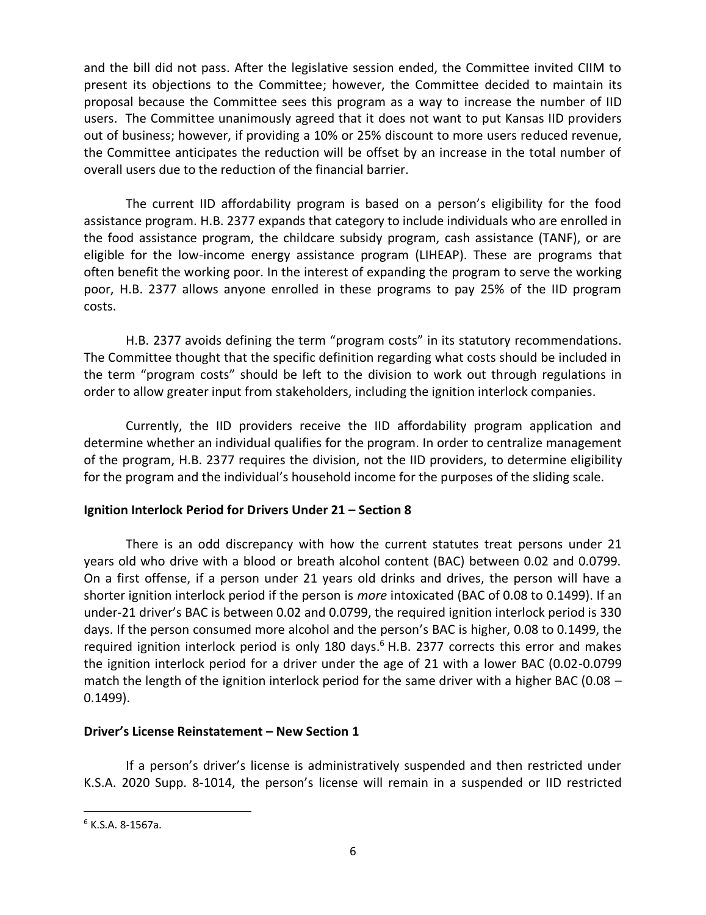and the bill did not pass. After the legislative session ended, the Committee invited CIIM to present its objections to the Committee; however, the Committee decided to maintain its proposal because the Committee sees this program as a way to increase the number of IID users. The Committee unanimously agreed that it does not want to put Kansas IID providers out of business; however, if providing a 10% or 25% discount to more users reduced revenue, the Committee anticipates the reduction will be offset by an increase in the total number of overall users due to the reduction of the financial barrier.

The current IID affordability program is based on a person's eligibility for the food assistance program. H.B. 2377 expands that category to include individuals who are enrolled in the food assistance program, the childcare subsidy program, cash assistance (TANF), or are eligible for the low-income energy assistance program (LIHEAP). These are programs that often benefit the working poor. In the interest of expanding the program to serve the working poor, H.B. 2377 allows anyone enrolled in these programs to pay 25% of the IID program costs.

H.B. 2377 avoids defining the term "program costs" in its statutory recommendations. The Committee thought that the specific definition regarding what costs should be included in the term "program costs" should be left to the division to work out through regulations in order to allow greater input from stakeholders, including the ignition interlock companies.

Currently, the IID providers receive the IID affordability program application and determine whether an individual qualifies for the program. In order to centralize management of the program, H.B. 2377 requires the division, not the IID providers, to determine eligibility for the program and the individual's household income for the purposes of the sliding scale.

# **Ignition Interlock Period for Drivers Under 21 – Section 8**

There is an odd discrepancy with how the current statutes treat persons under 21 years old who drive with a blood or breath alcohol content (BAC) between 0.02 and 0.0799. On a first offense, if a person under 21 years old drinks and drives, the person will have a shorter ignition interlock period if the person is *more* intoxicated (BAC of 0.08 to 0.1499). If an under-21 driver's BAC is between 0.02 and 0.0799, the required ignition interlock period is 330 days. If the person consumed more alcohol and the person's BAC is higher, 0.08 to 0.1499, the required ignition interlock period is only 180 days. $6$  H.B. 2377 corrects this error and makes the ignition interlock period for a driver under the age of 21 with a lower BAC (0.02-0.0799 match the length of the ignition interlock period for the same driver with a higher BAC (0.08  $-$ 0.1499).

# **Driver's License Reinstatement – New Section 1**

If a person's driver's license is administratively suspended and then restricted under K.S.A. 2020 Supp. 8-1014, the person's license will remain in a suspended or IID restricted

 $6$  K.S.A. 8-1567a.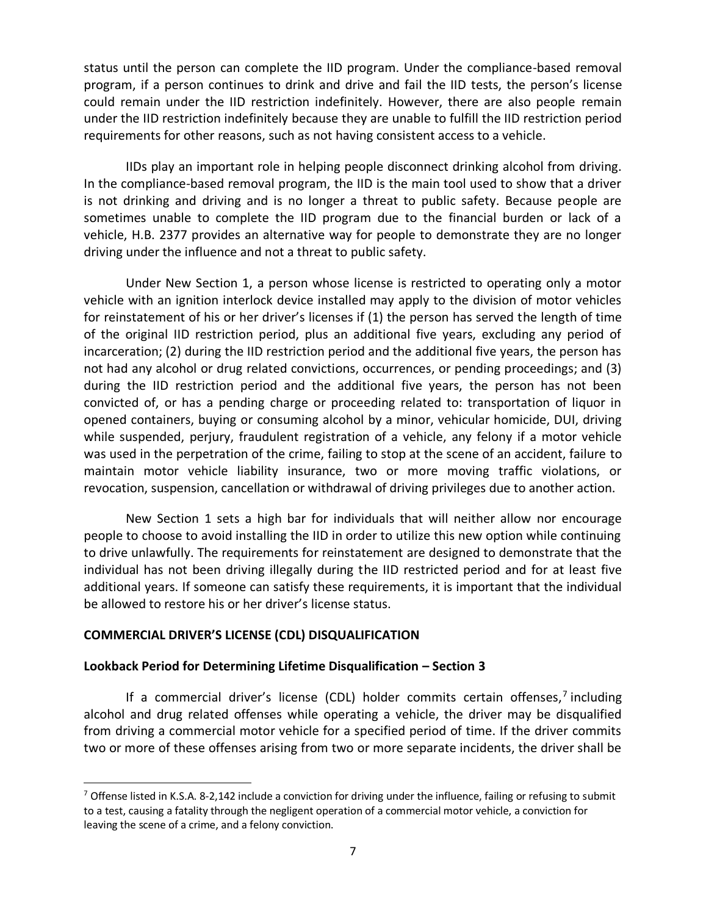status until the person can complete the IID program. Under the compliance-based removal program, if a person continues to drink and drive and fail the IID tests, the person's license could remain under the IID restriction indefinitely. However, there are also people remain under the IID restriction indefinitely because they are unable to fulfill the IID restriction period requirements for other reasons, such as not having consistent access to a vehicle.

IIDs play an important role in helping people disconnect drinking alcohol from driving. In the compliance-based removal program, the IID is the main tool used to show that a driver is not drinking and driving and is no longer a threat to public safety. Because people are sometimes unable to complete the IID program due to the financial burden or lack of a vehicle, H.B. 2377 provides an alternative way for people to demonstrate they are no longer driving under the influence and not a threat to public safety.

Under New Section 1, a person whose license is restricted to operating only a motor vehicle with an ignition interlock device installed may apply to the division of motor vehicles for reinstatement of his or her driver's licenses if (1) the person has served the length of time of the original IID restriction period, plus an additional five years, excluding any period of incarceration; (2) during the IID restriction period and the additional five years, the person has not had any alcohol or drug related convictions, occurrences, or pending proceedings; and (3) during the IID restriction period and the additional five years, the person has not been convicted of, or has a pending charge or proceeding related to: transportation of liquor in opened containers, buying or consuming alcohol by a minor, vehicular homicide, DUI, driving while suspended, perjury, fraudulent registration of a vehicle, any felony if a motor vehicle was used in the perpetration of the crime, failing to stop at the scene of an accident, failure to maintain motor vehicle liability insurance, two or more moving traffic violations, or revocation, suspension, cancellation or withdrawal of driving privileges due to another action.

New Section 1 sets a high bar for individuals that will neither allow nor encourage people to choose to avoid installing the IID in order to utilize this new option while continuing to drive unlawfully. The requirements for reinstatement are designed to demonstrate that the individual has not been driving illegally during the IID restricted period and for at least five additional years. If someone can satisfy these requirements, it is important that the individual be allowed to restore his or her driver's license status.

# **COMMERCIAL DRIVER'S LICENSE (CDL) DISQUALIFICATION**

### **Lookback Period for Determining Lifetime Disqualification – Section 3**

If a commercial driver's license (CDL) holder commits certain offenses,<sup>7</sup> including alcohol and drug related offenses while operating a vehicle, the driver may be disqualified from driving a commercial motor vehicle for a specified period of time. If the driver commits two or more of these offenses arising from two or more separate incidents, the driver shall be

 $7$  Offense listed in K.S.A. 8-2,142 include a conviction for driving under the influence, failing or refusing to submit to a test, causing a fatality through the negligent operation of a commercial motor vehicle, a conviction for leaving the scene of a crime, and a felony conviction.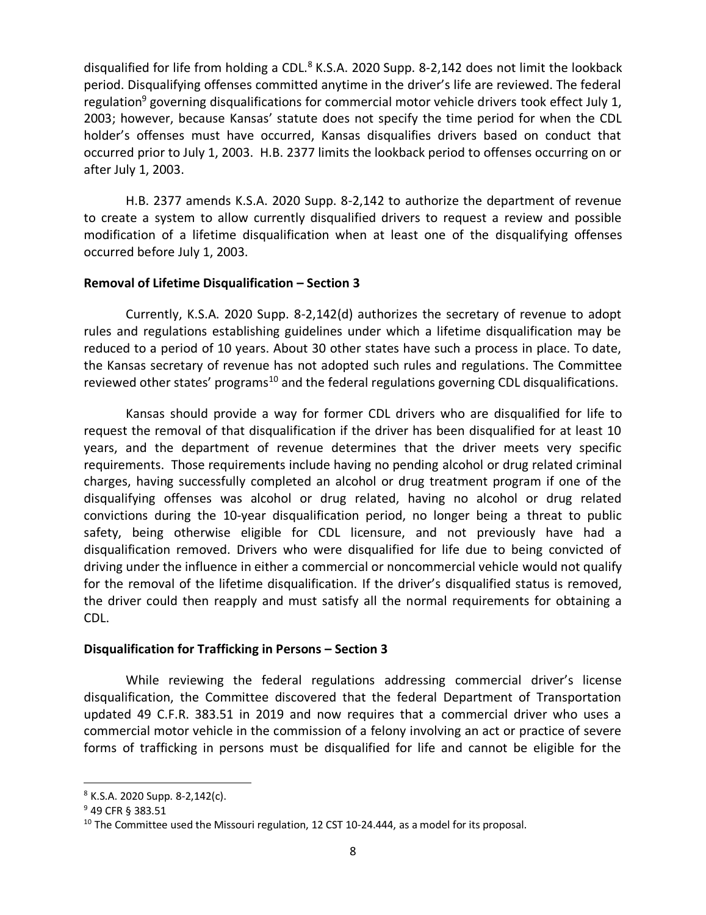disqualified for life from holding a CDL.<sup>8</sup> K.S.A. 2020 Supp. 8-2,142 does not limit the lookback period. Disqualifying offenses committed anytime in the driver's life are reviewed. The federal regulation<sup>9</sup> governing disqualifications for commercial motor vehicle drivers took effect July 1, 2003; however, because Kansas' statute does not specify the time period for when the CDL holder's offenses must have occurred, Kansas disqualifies drivers based on conduct that occurred prior to July 1, 2003. H.B. 2377 limits the lookback period to offenses occurring on or after July 1, 2003.

H.B. 2377 amends K.S.A. 2020 Supp. 8-2,142 to authorize the department of revenue to create a system to allow currently disqualified drivers to request a review and possible modification of a lifetime disqualification when at least one of the disqualifying offenses occurred before July 1, 2003.

## **Removal of Lifetime Disqualification – Section 3**

Currently, K.S.A. 2020 Supp. 8-2,142(d) authorizes the secretary of revenue to adopt rules and regulations establishing guidelines under which a lifetime disqualification may be reduced to a period of 10 years. About 30 other states have such a process in place. To date, the Kansas secretary of revenue has not adopted such rules and regulations. The Committee reviewed other states' programs<sup>10</sup> and the federal regulations governing CDL disqualifications.

Kansas should provide a way for former CDL drivers who are disqualified for life to request the removal of that disqualification if the driver has been disqualified for at least 10 years, and the department of revenue determines that the driver meets very specific requirements. Those requirements include having no pending alcohol or drug related criminal charges, having successfully completed an alcohol or drug treatment program if one of the disqualifying offenses was alcohol or drug related, having no alcohol or drug related convictions during the 10-year disqualification period, no longer being a threat to public safety, being otherwise eligible for CDL licensure, and not previously have had a disqualification removed. Drivers who were disqualified for life due to being convicted of driving under the influence in either a commercial or noncommercial vehicle would not qualify for the removal of the lifetime disqualification. If the driver's disqualified status is removed, the driver could then reapply and must satisfy all the normal requirements for obtaining a CDL.

# **Disqualification for Trafficking in Persons – Section 3**

While reviewing the federal regulations addressing commercial driver's license disqualification, the Committee discovered that the federal Department of Transportation updated 49 C.F.R. 383.51 in 2019 and now requires that a commercial driver who uses a commercial motor vehicle in the commission of a felony involving an act or practice of severe forms of trafficking in persons must be disqualified for life and cannot be eligible for the

<sup>8</sup> K.S.A. 2020 Supp. 8-2,142(c).

<sup>9</sup> 49 CFR § 383.51

 $10$  The Committee used the Missouri regulation, 12 CST 10-24.444, as a model for its proposal.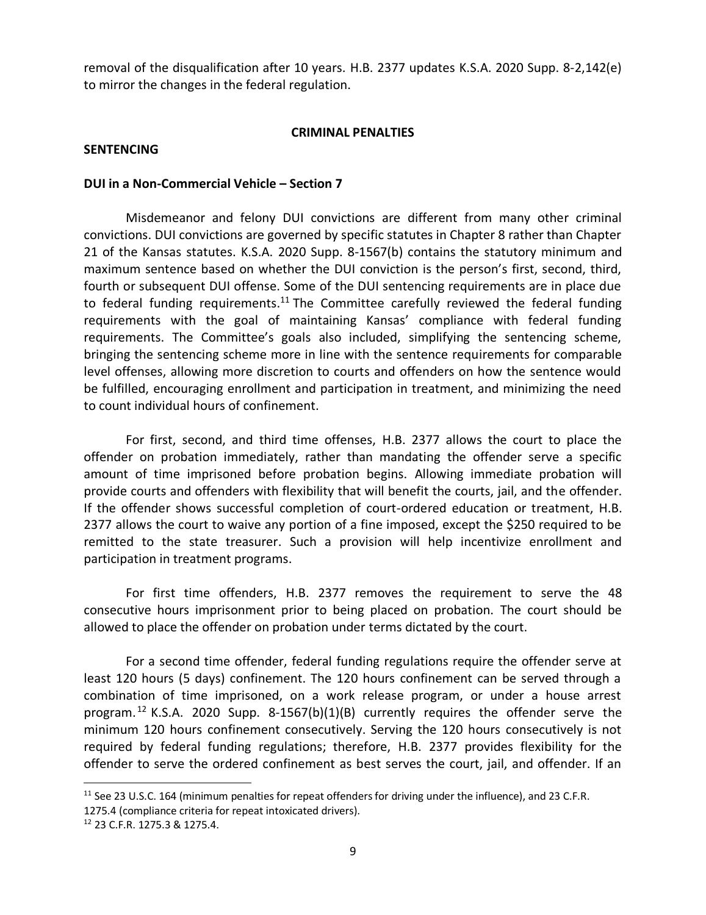removal of the disqualification after 10 years. H.B. 2377 updates K.S.A. 2020 Supp. 8-2,142(e) to mirror the changes in the federal regulation.

### **CRIMINAL PENALTIES**

#### **SENTENCING**

#### **DUI in a Non-Commercial Vehicle – Section 7**

Misdemeanor and felony DUI convictions are different from many other criminal convictions. DUI convictions are governed by specific statutes in Chapter 8 rather than Chapter 21 of the Kansas statutes. K.S.A. 2020 Supp. 8-1567(b) contains the statutory minimum and maximum sentence based on whether the DUI conviction is the person's first, second, third, fourth or subsequent DUI offense. Some of the DUI sentencing requirements are in place due to federal funding requirements.<sup>11</sup> The Committee carefully reviewed the federal funding requirements with the goal of maintaining Kansas' compliance with federal funding requirements. The Committee's goals also included, simplifying the sentencing scheme, bringing the sentencing scheme more in line with the sentence requirements for comparable level offenses, allowing more discretion to courts and offenders on how the sentence would be fulfilled, encouraging enrollment and participation in treatment, and minimizing the need to count individual hours of confinement.

For first, second, and third time offenses, H.B. 2377 allows the court to place the offender on probation immediately, rather than mandating the offender serve a specific amount of time imprisoned before probation begins. Allowing immediate probation will provide courts and offenders with flexibility that will benefit the courts, jail, and the offender. If the offender shows successful completion of court-ordered education or treatment, H.B. 2377 allows the court to waive any portion of a fine imposed, except the \$250 required to be remitted to the state treasurer. Such a provision will help incentivize enrollment and participation in treatment programs.

For first time offenders, H.B. 2377 removes the requirement to serve the 48 consecutive hours imprisonment prior to being placed on probation. The court should be allowed to place the offender on probation under terms dictated by the court.

For a second time offender, federal funding regulations require the offender serve at least 120 hours (5 days) confinement. The 120 hours confinement can be served through a combination of time imprisoned, on a work release program, or under a house arrest program.<sup>12</sup> K.S.A. 2020 Supp. 8-1567(b)(1)(B) currently requires the offender serve the minimum 120 hours confinement consecutively. Serving the 120 hours consecutively is not required by federal funding regulations; therefore, H.B. 2377 provides flexibility for the offender to serve the ordered confinement as best serves the court, jail, and offender. If an

<sup>&</sup>lt;sup>11</sup> See 23 U.S.C. 164 (minimum penalties for repeat offenders for driving under the influence), and 23 C.F.R.

<sup>1275.4 (</sup>compliance criteria for repeat intoxicated drivers).

<sup>12</sup> 23 C.F.R. 1275.3 & 1275.4.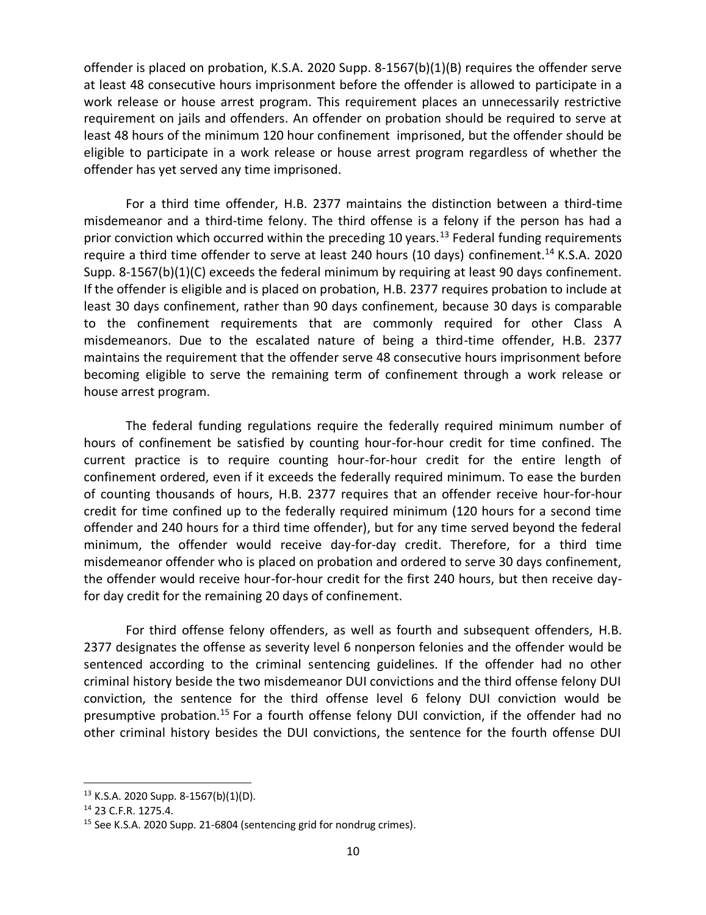offender is placed on probation, K.S.A. 2020 Supp. 8-1567(b)(1)(B) requires the offender serve at least 48 consecutive hours imprisonment before the offender is allowed to participate in a work release or house arrest program. This requirement places an unnecessarily restrictive requirement on jails and offenders. An offender on probation should be required to serve at least 48 hours of the minimum 120 hour confinement imprisoned, but the offender should be eligible to participate in a work release or house arrest program regardless of whether the offender has yet served any time imprisoned.

For a third time offender, H.B. 2377 maintains the distinction between a third-time misdemeanor and a third-time felony. The third offense is a felony if the person has had a prior conviction which occurred within the preceding 10 years.<sup>13</sup> Federal funding requirements require a third time offender to serve at least 240 hours (10 days) confinement.<sup>14</sup> K.S.A. 2020 Supp. 8-1567(b)(1)(C) exceeds the federal minimum by requiring at least 90 days confinement. If the offender is eligible and is placed on probation, H.B. 2377 requires probation to include at least 30 days confinement, rather than 90 days confinement, because 30 days is comparable to the confinement requirements that are commonly required for other Class A misdemeanors. Due to the escalated nature of being a third-time offender, H.B. 2377 maintains the requirement that the offender serve 48 consecutive hours imprisonment before becoming eligible to serve the remaining term of confinement through a work release or house arrest program.

The federal funding regulations require the federally required minimum number of hours of confinement be satisfied by counting hour-for-hour credit for time confined. The current practice is to require counting hour-for-hour credit for the entire length of confinement ordered, even if it exceeds the federally required minimum. To ease the burden of counting thousands of hours, H.B. 2377 requires that an offender receive hour-for-hour credit for time confined up to the federally required minimum (120 hours for a second time offender and 240 hours for a third time offender), but for any time served beyond the federal minimum, the offender would receive day-for-day credit. Therefore, for a third time misdemeanor offender who is placed on probation and ordered to serve 30 days confinement, the offender would receive hour-for-hour credit for the first 240 hours, but then receive dayfor day credit for the remaining 20 days of confinement.

For third offense felony offenders, as well as fourth and subsequent offenders, H.B. 2377 designates the offense as severity level 6 nonperson felonies and the offender would be sentenced according to the criminal sentencing guidelines. If the offender had no other criminal history beside the two misdemeanor DUI convictions and the third offense felony DUI conviction, the sentence for the third offense level 6 felony DUI conviction would be presumptive probation.<sup>15</sup> For a fourth offense felony DUI conviction, if the offender had no other criminal history besides the DUI convictions, the sentence for the fourth offense DUI

 $13$  K.S.A. 2020 Supp. 8-1567(b)(1)(D).

<sup>14</sup> 23 C.F.R. 1275.4.

<sup>&</sup>lt;sup>15</sup> See K.S.A. 2020 Supp. 21-6804 (sentencing grid for nondrug crimes).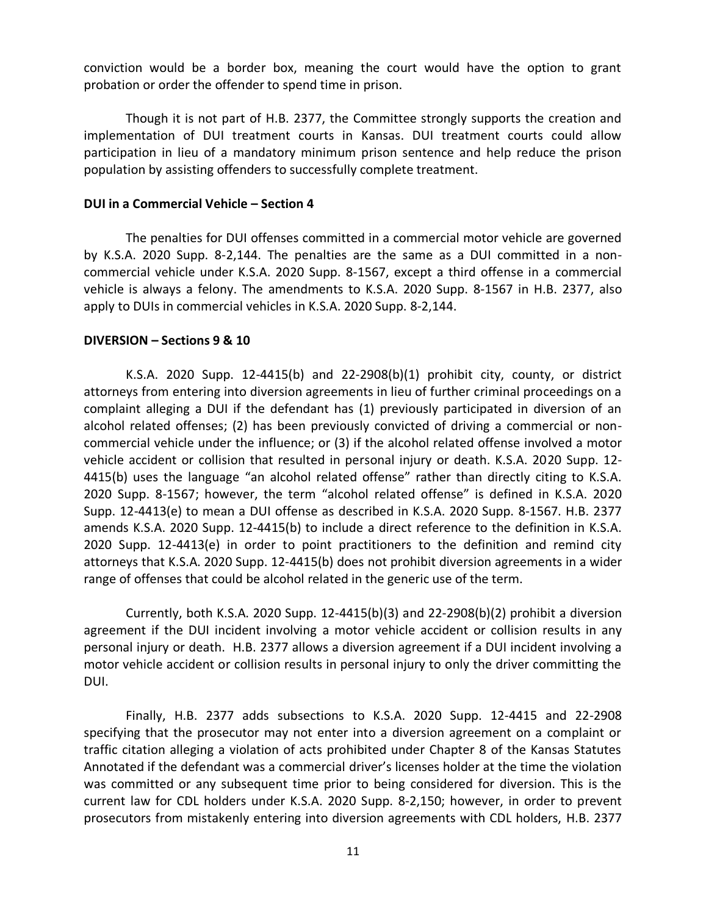conviction would be a border box, meaning the court would have the option to grant probation or order the offender to spend time in prison.

Though it is not part of H.B. 2377, the Committee strongly supports the creation and implementation of DUI treatment courts in Kansas. DUI treatment courts could allow participation in lieu of a mandatory minimum prison sentence and help reduce the prison population by assisting offenders to successfully complete treatment.

### **DUI in a Commercial Vehicle – Section 4**

The penalties for DUI offenses committed in a commercial motor vehicle are governed by K.S.A. 2020 Supp. 8-2,144. The penalties are the same as a DUI committed in a noncommercial vehicle under K.S.A. 2020 Supp. 8-1567, except a third offense in a commercial vehicle is always a felony. The amendments to K.S.A. 2020 Supp. 8-1567 in H.B. 2377, also apply to DUIs in commercial vehicles in K.S.A. 2020 Supp. 8-2,144.

### **DIVERSION – Sections 9 & 10**

K.S.A. 2020 Supp.  $12-4415(b)$  and  $22-2908(b)(1)$  prohibit city, county, or district attorneys from entering into diversion agreements in lieu of further criminal proceedings on a complaint alleging a DUI if the defendant has (1) previously participated in diversion of an alcohol related offenses; (2) has been previously convicted of driving a commercial or noncommercial vehicle under the influence; or (3) if the alcohol related offense involved a motor vehicle accident or collision that resulted in personal injury or death. K.S.A. 2020 Supp. 12- 4415(b) uses the language "an alcohol related offense" rather than directly citing to K.S.A. 2020 Supp. 8-1567; however, the term "alcohol related offense" is defined in K.S.A. 2020 Supp. 12-4413(e) to mean a DUI offense as described in K.S.A. 2020 Supp. 8-1567. H.B. 2377 amends K.S.A. 2020 Supp. 12-4415(b) to include a direct reference to the definition in K.S.A. 2020 Supp. 12-4413(e) in order to point practitioners to the definition and remind city attorneys that K.S.A. 2020 Supp. 12-4415(b) does not prohibit diversion agreements in a wider range of offenses that could be alcohol related in the generic use of the term.

Currently, both K.S.A. 2020 Supp. 12-4415(b)(3) and 22-2908(b)(2) prohibit a diversion agreement if the DUI incident involving a motor vehicle accident or collision results in any personal injury or death. H.B. 2377 allows a diversion agreement if a DUI incident involving a motor vehicle accident or collision results in personal injury to only the driver committing the DUI.

Finally, H.B. 2377 adds subsections to K.S.A. 2020 Supp. 12-4415 and 22-2908 specifying that the prosecutor may not enter into a diversion agreement on a complaint or traffic citation alleging a violation of acts prohibited under Chapter 8 of the Kansas Statutes Annotated if the defendant was a commercial driver's licenses holder at the time the violation was committed or any subsequent time prior to being considered for diversion. This is the current law for CDL holders under K.S.A. 2020 Supp. 8-2,150; however, in order to prevent prosecutors from mistakenly entering into diversion agreements with CDL holders, H.B. 2377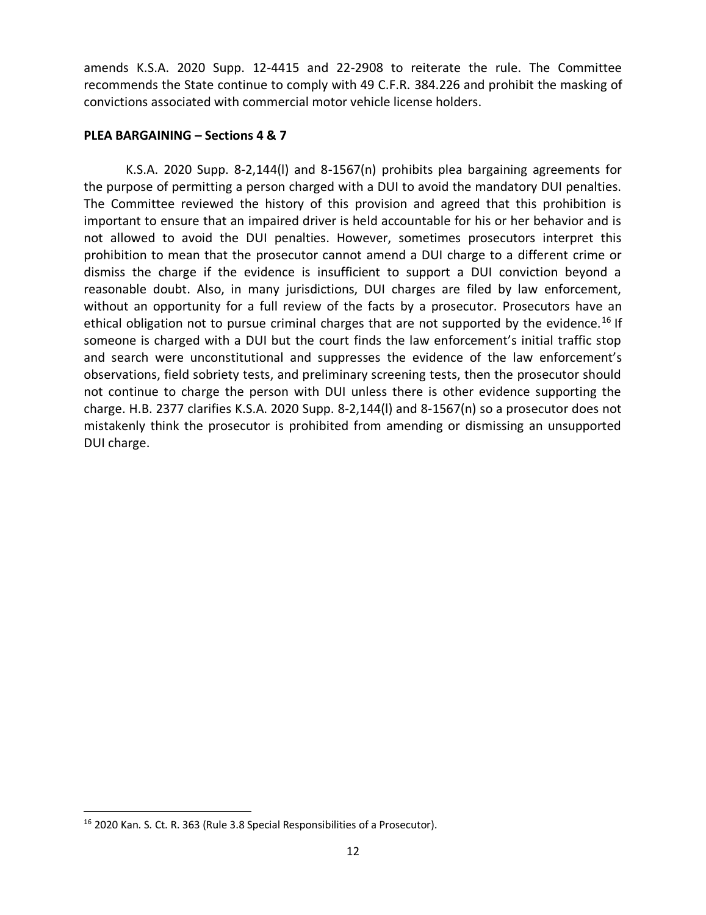amends K.S.A. 2020 Supp. 12-4415 and 22-2908 to reiterate the rule. The Committee recommends the State continue to comply with 49 C.F.R. 384.226 and prohibit the masking of convictions associated with commercial motor vehicle license holders.

## **PLEA BARGAINING – Sections 4 & 7**

K.S.A. 2020 Supp. 8-2,144(l) and 8-1567(n) prohibits plea bargaining agreements for the purpose of permitting a person charged with a DUI to avoid the mandatory DUI penalties. The Committee reviewed the history of this provision and agreed that this prohibition is important to ensure that an impaired driver is held accountable for his or her behavior and is not allowed to avoid the DUI penalties. However, sometimes prosecutors interpret this prohibition to mean that the prosecutor cannot amend a DUI charge to a different crime or dismiss the charge if the evidence is insufficient to support a DUI conviction beyond a reasonable doubt. Also, in many jurisdictions, DUI charges are filed by law enforcement, without an opportunity for a full review of the facts by a prosecutor. Prosecutors have an ethical obligation not to pursue criminal charges that are not supported by the evidence.<sup>16</sup> If someone is charged with a DUI but the court finds the law enforcement's initial traffic stop and search were unconstitutional and suppresses the evidence of the law enforcement's observations, field sobriety tests, and preliminary screening tests, then the prosecutor should not continue to charge the person with DUI unless there is other evidence supporting the charge. H.B. 2377 clarifies K.S.A. 2020 Supp. 8-2,144(l) and 8-1567(n) so a prosecutor does not mistakenly think the prosecutor is prohibited from amending or dismissing an unsupported DUI charge.

<sup>16</sup> 2020 Kan. S. Ct. R. 363 (Rule 3.8 Special Responsibilities of a Prosecutor).